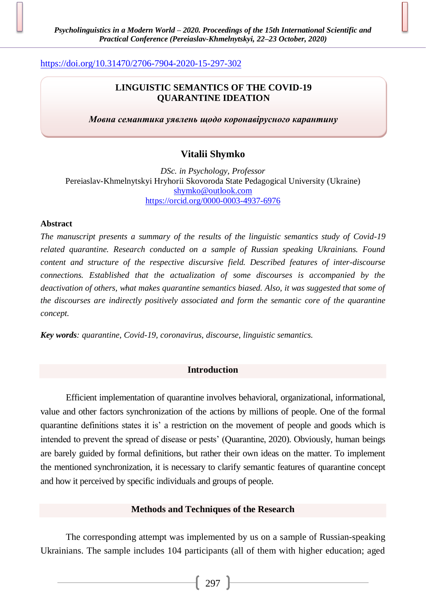# <https://doi.org/10.31470/2706-7904-2020-15-297-302>

# **LINGUISTIC SEMANTICS OF THE COVID-19 QUARANTINE IDEATION**

*Мовна семантика уявлень щодо коронавірусного карантину*

# **Vitalii Shymko**

*DSc. in Psychology, Professor* Pereiaslav-Khmelnytskyi Hryhorii Skovoroda State Pedagogical University (Ukraine) [shymko@outlook.com](mailto:shymko@outlook.com) <https://orcid.org/0000-0003-4937-6976>

## **Abstract**

*The manuscript presents a summary of the results of the linguistic semantics study of Covid-19 related quarantine. Research conducted on a sample of Russian speaking Ukrainians. Found content and structure of the respective discursive field. Described features of inter-discourse connections. Established that the actualization of some discourses is accompanied by the deactivation of others, what makes quarantine semantics biased. Also, it was suggested that some of the discourses are indirectly positively associated and form the semantic core of the quarantine concept.*

*Key words: quarantine, Covid-19, coronavirus, discourse, linguistic semantics.*

## **Introduction**

Efficient implementation of quarantine involves behavioral, organizational, informational, value and other factors synchronization of the actions by millions of people. One of the formal quarantine definitions states it is' a restriction on the movement of people and goods which is intended to prevent the spread of disease or pests' (Quarantine, 2020). Obviously, human beings are barely guided by formal definitions, but rather their own ideas on the matter. To implement the mentioned synchronization, it is necessary to clarify semantic features of quarantine concept and how it perceived by specific individuals and groups of people.

## **Methods and Techniques of the Research**

The corresponding attempt was implemented by us on a sample of Russian-speaking Ukrainians. The sample includes 104 participants (all of them with higher education; aged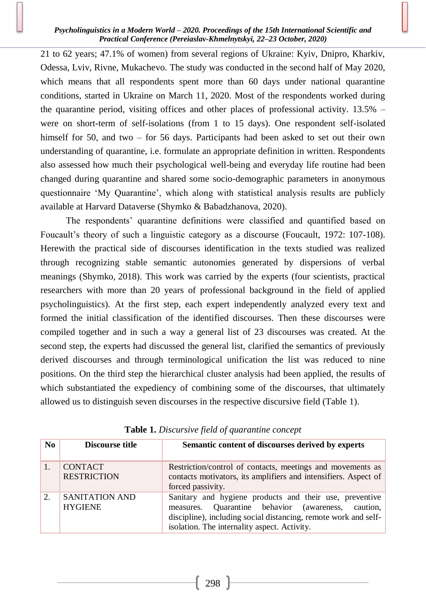#### *Psycholinguistics in a Modern World – 2020. Proceedings of the 15th International Scientific and Practical Conference (Pereiaslav-Khmelnytskyi, 22–23 October, 2020)*

21 to 62 years; 47.1% of women) from several regions of Ukraine: Kyiv, Dnipro, Kharkiv, Odessa, Lviv, Rivne, Mukachevo. The study was conducted in the second half of May 2020, which means that all respondents spent more than 60 days under national quarantine conditions, started in Ukraine on March 11, 2020. Most of the respondents worked during the quarantine period, visiting offices and other places of professional activity. 13.5% – were on short-term of self-isolations (from 1 to 15 days). One respondent self-isolated himself for 50, and two – for 56 days. Participants had been asked to set out their own understanding of quarantine, i.e. formulate an appropriate definition in written. Respondents also assessed how much their psychological well-being and everyday life routine had been changed during quarantine and shared some socio-demographic parameters in anonymous questionnaire 'My Quarantine', which along with statistical analysis results are publicly available at Harvard Dataverse (Shymko & Babadzhanova, 2020).

The respondents' quarantine definitions were classified and quantified based on Foucault's theory of such a linguistic category as a discourse (Foucault, 1972: 107-108). Herewith the practical side of discourses identification in the texts studied was realized through recognizing stable semantic autonomies generated by dispersions of verbal meanings (Shymko, 2018). This work was carried by the experts (four scientists, practical researchers with more than 20 years of professional background in the field of applied psycholinguistics). At the first step, each expert independently analyzed every text and formed the initial classification of the identified discourses. Then these discourses were compiled together and in such a way a general list of 23 discourses was created. At the second step, the experts had discussed the general list, clarified the semantics of previously derived discourses and through terminological unification the list was reduced to nine positions. On the third step the hierarchical cluster analysis had been applied, the results of which substantiated the expediency of combining some of the discourses, that ultimately allowed us to distinguish seven discourses in the respective discursive field (Table 1).

| No | Discourse title                      | Semantic content of discourses derived by experts                                                                                                                                                                                      |
|----|--------------------------------------|----------------------------------------------------------------------------------------------------------------------------------------------------------------------------------------------------------------------------------------|
| 1. | <b>CONTACT</b><br><b>RESTRICTION</b> | Restriction/control of contacts, meetings and movements as<br>contacts motivators, its amplifiers and intensifiers. Aspect of<br>forced passivity.                                                                                     |
| 2. | SANITATION AND<br><b>HYGIENE</b>     | Sanitary and hygiene products and their use, preventive<br>Quarantine behavior (awareness,<br>caution.<br>measures.<br>discipline), including social distancing, remote work and self-<br>isolation. The internality aspect. Activity. |

**Table 1.** *Discursive field of quarantine concept*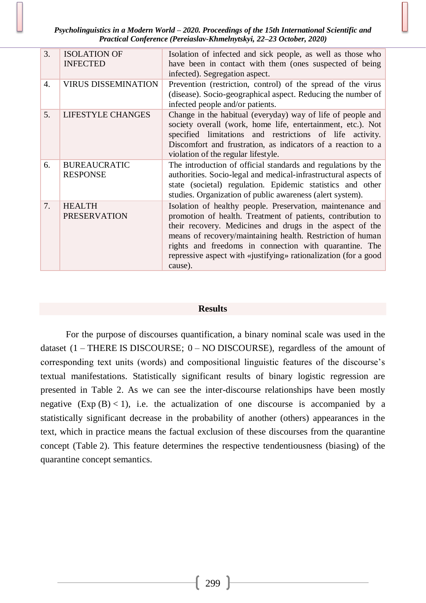*Psycholinguistics in a Modern World – 2020. Proceedings of the 15th International Scientific and Practical Conference (Pereiaslav-Khmelnytskyi, 22–23 October, 2020)*

| 3. | <b>ISOLATION OF</b><br><b>INFECTED</b> | Isolation of infected and sick people, as well as those who<br>have been in contact with them (ones suspected of being<br>infected). Segregation aspect.                                                                                                                                                                                                                                    |
|----|----------------------------------------|---------------------------------------------------------------------------------------------------------------------------------------------------------------------------------------------------------------------------------------------------------------------------------------------------------------------------------------------------------------------------------------------|
| 4. | <b>VIRUS DISSEMINATION</b>             | Prevention (restriction, control) of the spread of the virus<br>(disease). Socio-geographical aspect. Reducing the number of<br>infected people and/or patients.                                                                                                                                                                                                                            |
| 5. | <b>LIFESTYLE CHANGES</b>               | Change in the habitual (everyday) way of life of people and<br>society overall (work, home life, entertainment, etc.). Not<br>specified limitations and restrictions of life activity.<br>Discomfort and frustration, as indicators of a reaction to a<br>violation of the regular lifestyle.                                                                                               |
| 6. | <b>BUREAUCRATIC</b><br><b>RESPONSE</b> | The introduction of official standards and regulations by the<br>authorities. Socio-legal and medical-infrastructural aspects of<br>state (societal) regulation. Epidemic statistics and other<br>studies. Organization of public awareness (alert system).                                                                                                                                 |
| 7. | <b>HEALTH</b><br><b>PRESERVATION</b>   | Isolation of healthy people. Preservation, maintenance and<br>promotion of health. Treatment of patients, contribution to<br>their recovery. Medicines and drugs in the aspect of the<br>means of recovery/maintaining health. Restriction of human<br>rights and freedoms in connection with quarantine. The<br>repressive aspect with «justifying» rationalization (for a good<br>cause). |

#### **Results**

For the purpose of discourses quantification, a binary nominal scale was used in the dataset  $(1 - THERE IS DISCOURSE; 0 - NO DISCOURSE)$ , regardless of the amount of corresponding text units (words) and compositional linguistic features of the discourse's textual manifestations. Statistically significant results of binary logistic regression are presented in Table 2. As we can see the inter-discourse relationships have been mostly negative  $(Exp(B) < 1)$ , i.e. the actualization of one discourse is accompanied by a statistically significant decrease in the probability of another (others) appearances in the text, which in practice means the factual exclusion of these discourses from the quarantine concept (Table 2). This feature determines the respective tendentiousness (biasing) of the quarantine concept semantics.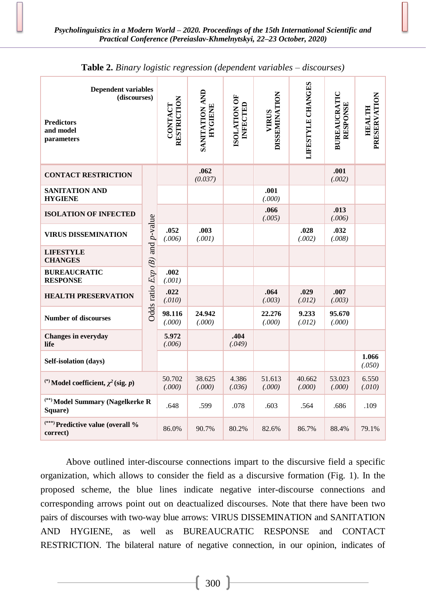| <b>Dependent variables</b><br>(discourses)<br><b>Predictors</b><br>and model<br>parameters |                                 | RESTRICTION<br>CONTACT | SANITATION AND<br><b>HYGIENE</b> | ISOLATION OF<br>INFECTED | <b>DISSEMINATION</b><br><b>VIRUS</b> | LIFESTYLE CHANGES | BUREAUCRATIC<br><b>RESPONSE</b> | PRESERVATION<br><b>HEALTH</b> |
|--------------------------------------------------------------------------------------------|---------------------------------|------------------------|----------------------------------|--------------------------|--------------------------------------|-------------------|---------------------------------|-------------------------------|
| <b>CONTACT RESTRICTION</b>                                                                 |                                 |                        | .062<br>(0.037)                  |                          |                                      |                   | .001<br>(.002)                  |                               |
| SANITATION AND<br><b>HYGIENE</b>                                                           |                                 |                        |                                  |                          | .001<br>(.000)                       |                   |                                 |                               |
| <b>ISOLATION OF INFECTED</b>                                                               |                                 |                        |                                  |                          | .066<br>(.005)                       |                   | .013<br>(.006)                  |                               |
| <b>VIRUS DISSEMINATION</b>                                                                 |                                 | .052<br>(.006)         | .003<br>(.001)                   |                          |                                      | .028<br>(.002)    | .032<br>(.008)                  |                               |
| <b>LIFESTYLE</b><br><b>CHANGES</b>                                                         |                                 |                        |                                  |                          |                                      |                   |                                 |                               |
| <b>BUREAUCRATIC</b><br><b>RESPONSE</b>                                                     |                                 | .002<br>(.001)         |                                  |                          |                                      |                   |                                 |                               |
| <b>HEALTH PRESERVATION</b>                                                                 | Odds ratio $Exp(B)$ and p-value |                        |                                  |                          | .064<br>(.003)                       | .029<br>(.012)    | .007<br>(.003)                  |                               |
| <b>Number of discourses</b>                                                                |                                 |                        | 24.942<br>(.000)                 |                          | 22.276<br>(.000)                     | 9.233<br>(.012)   | 95.670<br>(.000)                |                               |
| <b>Changes in everyday</b><br>life                                                         |                                 |                        |                                  | .404<br>(.049)           |                                      |                   |                                 |                               |
| Self-isolation (days)                                                                      |                                 |                        |                                  |                          |                                      |                   |                                 | 1.066<br>(.050)               |
| <sup>(*)</sup> Model coefficient, $\chi^2$ (sig. <i>p</i> )                                | 50.702<br>(.000)                | 38.625<br>(.000)       | 4.386<br>(.036)                  | 51.613<br>(.000)         | 40.662<br>(.000)                     | 53.023<br>(.000)  | 6.550<br>(.010)                 |                               |
| <sup>(**)</sup> Model Summary (Nagelkerke R<br>Square)                                     | .648                            | .599                   | .078                             | .603                     | .564                                 | .686              | .109                            |                               |
| <sup>(***)</sup> Predictive value (overall %<br>correct)                                   |                                 | 86.0%                  | 90.7%                            | 80.2%                    | 82.6%                                | 86.7%             | 88.4%                           | 79.1%                         |

**Table 2.** *Binary logistic regression (dependent variables – discourses)*

Above outlined inter-discourse connections impart to the discursive field a specific organization, which allows to consider the field as a discursive formation (Fig. 1). In the proposed scheme, the blue lines indicate negative inter-discourse connections and corresponding arrows point out on deactualized discourses. Note that there have been two pairs of discourses with two-way blue arrows: VIRUS DISSEMINATION and SANITATION AND HYGIENE, as well as BUREAUCRATIC RESPONSE and CONTACT RESTRICTION. The bilateral nature of negative connection, in our opinion, indicates of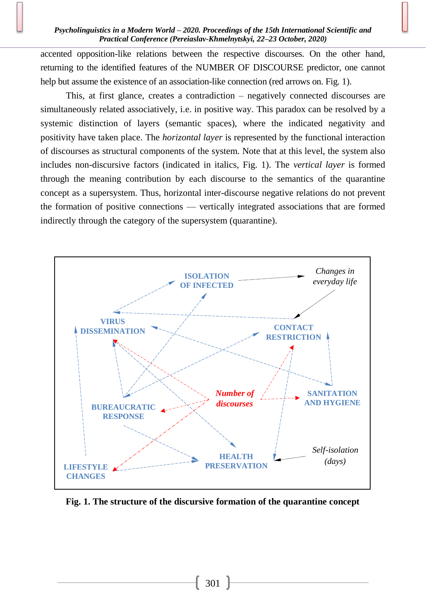#### *Psycholinguistics in a Modern World – 2020. Proceedings of the 15th International Scientific and Practical Conference (Pereiaslav-Khmelnytskyi, 22–23 October, 2020)*

accented opposition-like relations between the respective discourses. On the other hand, returning to the identified features of the NUMBER OF DISCOURSE predictor, one cannot help but assume the existence of an association-like connection (red arrows on. Fig. 1).

This, at first glance, creates a contradiction – negatively connected discourses are simultaneously related associatively, i.e. in positive way. This paradox can be resolved by a systemic distinction of layers (semantic spaces), where the indicated negativity and positivity have taken place. The *horizontal layer* is represented by the functional interaction of discourses as structural components of the system. Note that at this level, the system also includes non-discursive factors (indicated in italics, Fig. 1). The *vertical layer* is formed through the meaning contribution by each discourse to the semantics of the quarantine concept as a supersystem. Thus, horizontal inter-discourse negative relations do not prevent the formation of positive connections — vertically integrated associations that are formed indirectly through the category of the supersystem (quarantine).



**Fig. 1. The structure of the discursive formation of the quarantine concept**